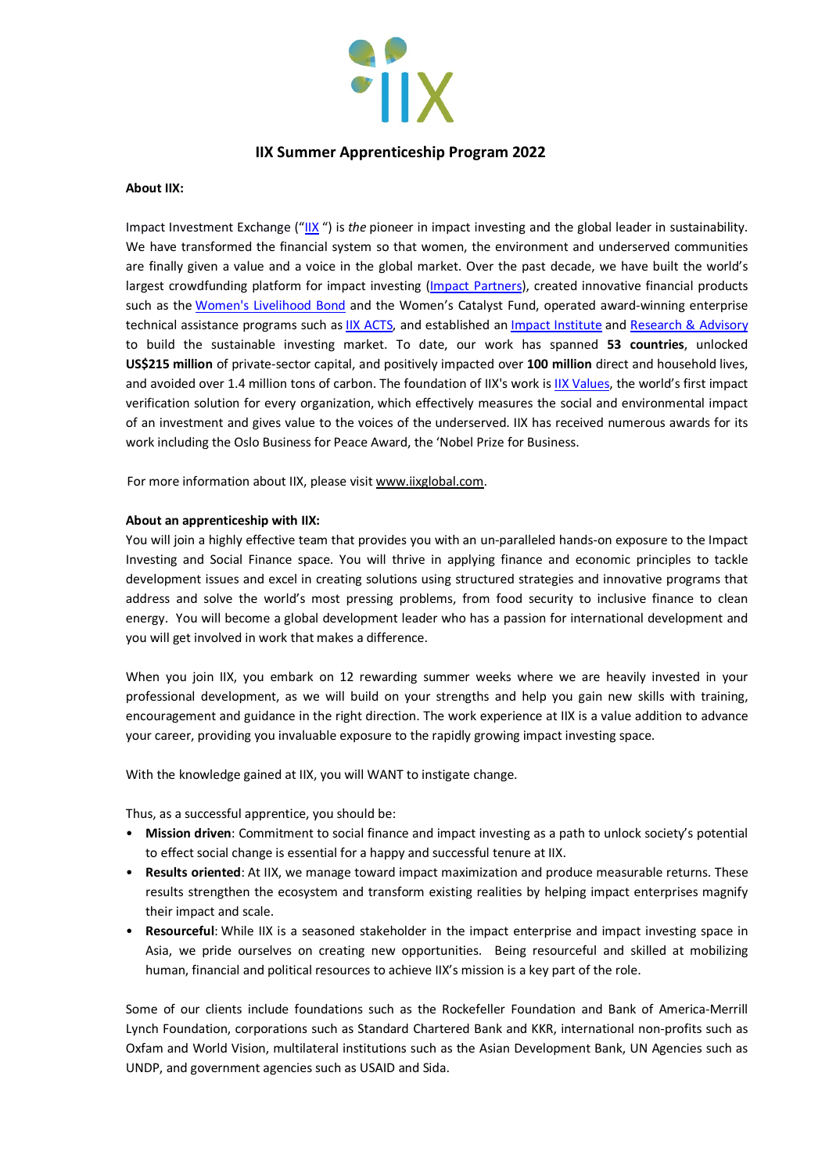

# **IIX Summer Apprenticeship Program 2022**

#### **About IIX:**

Impact Investment Exchange ("IIX ") is *the* pioneer in impact investing and the global leader in sustainability. We have transformed the financial system so that women, the environment and underserved communities are finally given a value and a voice in the global market. Over the past decade, we have built the world's largest crowdfunding platform for impact investing (Impact Partners), created innovative financial products such as the Women's Livelihood Bond and the Women's Catalyst Fund, operated award-winning enterprise technical assistance programs such as IIX ACTS, and established an Impact Institute and Research & Advisory to build the sustainable investing market. To date, our work has spanned **53 countries**, unlocked **US\$215 million** of private-sector capital, and positively impacted over **100 million** direct and household lives, and avoided over 1.4 million tons of carbon. The foundation of IIX's work is IIX Values, the world's first impact verification solution for every organization, which effectively measures the social and environmental impact of an investment and gives value to the voices of the underserved. IIX has received numerous awards for its work including the Oslo Business for Peace Award, the 'Nobel Prize for Business.

For more information about IIX, please visit www.iixglobal.com.

#### **About an apprenticeship with IIX:**

You will join a highly effective team that provides you with an un-paralleled hands-on exposure to the Impact Investing and Social Finance space. You will thrive in applying finance and economic principles to tackle development issues and excel in creating solutions using structured strategies and innovative programs that address and solve the world's most pressing problems, from food security to inclusive finance to clean energy. You will become a global development leader who has a passion for international development and you will get involved in work that makes a difference.

When you join IIX, you embark on 12 rewarding summer weeks where we are heavily invested in your professional development, as we will build on your strengths and help you gain new skills with training, encouragement and guidance in the right direction. The work experience at IIX is a value addition to advance your career, providing you invaluable exposure to the rapidly growing impact investing space.

With the knowledge gained at IIX, you will WANT to instigate change.

Thus, as a successful apprentice, you should be:

- **Mission driven**: Commitment to social finance and impact investing as a path to unlock society's potential to effect social change is essential for a happy and successful tenure at IIX.
- **Results oriented**: At IIX, we manage toward impact maximization and produce measurable returns. These results strengthen the ecosystem and transform existing realities by helping impact enterprises magnify their impact and scale.
- **Resourceful**: While IIX is a seasoned stakeholder in the impact enterprise and impact investing space in Asia, we pride ourselves on creating new opportunities. Being resourceful and skilled at mobilizing human, financial and political resources to achieve IIX's mission is a key part of the role.

Some of our clients include foundations such as the Rockefeller Foundation and Bank of America-Merrill Lynch Foundation, corporations such as Standard Chartered Bank and KKR, international non-profits such as Oxfam and World Vision, multilateral institutions such as the Asian Development Bank, UN Agencies such as UNDP, and government agencies such as USAID and Sida.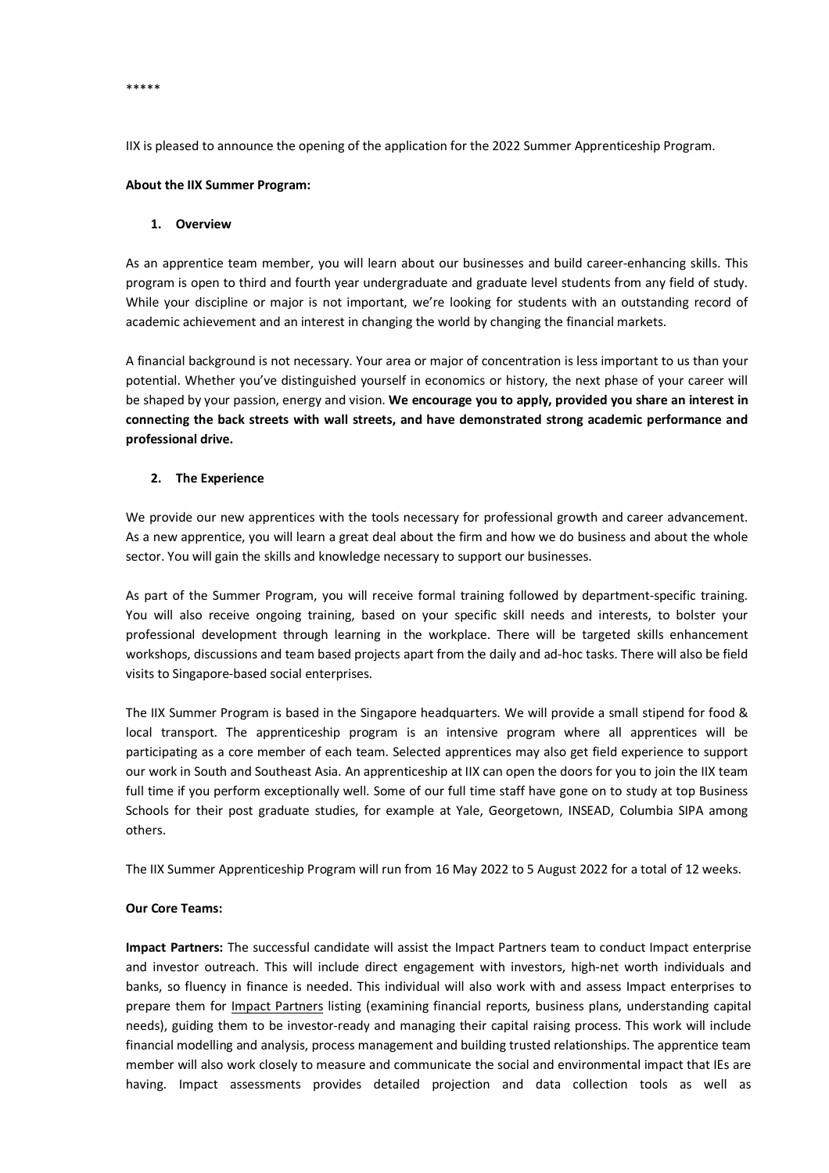\*\*\*\*\*

IIX is pleased to announce the opening of the application for the 2022 Summer Apprenticeship Program.

#### **About the IIX Summer Program:**

#### **1. Overview**

As an apprentice team member, you will learn about our businesses and build career-enhancing skills. This program is open to third and fourth year undergraduate and graduate level students from any field of study. While your discipline or major is not important, we're looking for students with an outstanding record of academic achievement and an interest in changing the world by changing the financial markets.

A financial background is not necessary. Your area or major of concentration is less important to us than your potential. Whether you've distinguished yourself in economics or history, the next phase of your career will be shaped by your passion, energy and vision. **We encourage you to apply, provided you share an interest in connecting the back streets with wall streets, and have demonstrated strong academic performance and professional drive.**

# **2. The Experience**

We provide our new apprentices with the tools necessary for professional growth and career advancement. As a new apprentice, you will learn a great deal about the firm and how we do business and about the whole sector. You will gain the skills and knowledge necessary to support our businesses.

As part of the Summer Program, you will receive formal training followed by department-specific training. You will also receive ongoing training, based on your specific skill needs and interests, to bolster your professional development through learning in the workplace. There will be targeted skills enhancement workshops, discussions and team based projects apart from the daily and ad-hoc tasks. There will also be field visits to Singapore-based social enterprises.

The IIX Summer Program is based in the Singapore headquarters. We will provide a small stipend for food & local transport. The apprenticeship program is an intensive program where all apprentices will be participating as a core member of each team. Selected apprentices may also get field experience to support our work in South and Southeast Asia. An apprenticeship at IIX can open the doors for you to join the IIX team full time if you perform exceptionally well. Some of our full time staff have gone on to study at top Business Schools for their post graduate studies, for example at Yale, Georgetown, INSEAD, Columbia SIPA among others.

The IIX Summer Apprenticeship Program will run from 16 May 2022 to 5 August 2022 for a total of 12 weeks.

# **Our Core Teams:**

**Impact Partners:** The successful candidate will assist the Impact Partners team to conduct Impact enterprise and investor outreach. This will include direct engagement with investors, high-net worth individuals and banks, so fluency in finance is needed. This individual will also work with and assess Impact enterprises to prepare them for Impact Partners listing (examining financial reports, business plans, understanding capital needs), guiding them to be investor-ready and managing their capital raising process. This work will include financial modelling and analysis, process management and building trusted relationships. The apprentice team member will also work closely to measure and communicate the social and environmental impact that IEs are having. Impact assessments provides detailed projection and data collection tools as well as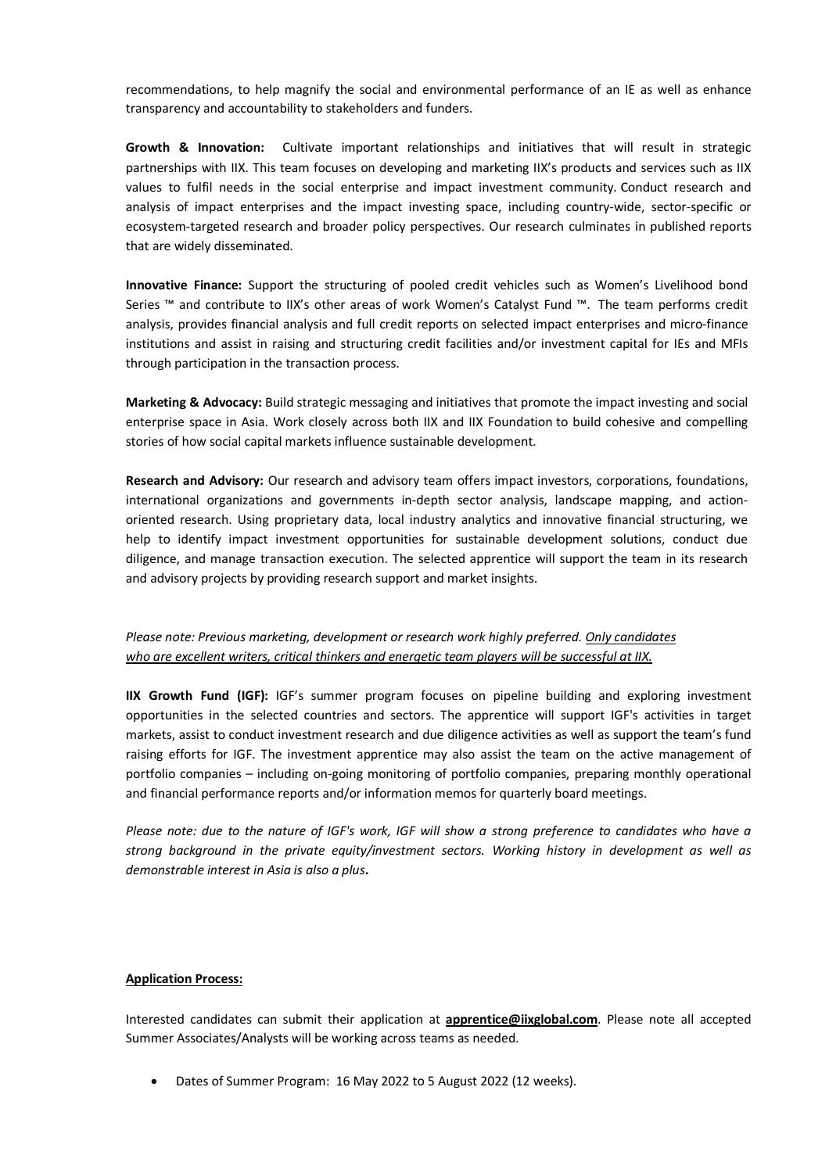recommendations, to help magnify the social and environmental performance of an IE as well as enhance transparency and accountability to stakeholders and funders.

**Growth & Innovation:** Cultivate important relationships and initiatives that will result in strategic partnerships with IIX. This team focuses on developing and marketing IIX's products and services such as IIX values to fulfil needs in the social enterprise and impact investment community. Conduct research and analysis of impact enterprises and the impact investing space, including country-wide, sector-specific or ecosystem-targeted research and broader policy perspectives. Our research culminates in published reports that are widely disseminated.

**Innovative Finance:** Support the structuring of pooled credit vehicles such as Women's Livelihood bond Series ™ and contribute to IIX's other areas of work Women's Catalyst Fund ™. The team performs credit analysis, provides financial analysis and full credit reports on selected impact enterprises and micro-finance institutions and assist in raising and structuring credit facilities and/or investment capital for IEs and MFIs through participation in the transaction process.

**Marketing & Advocacy:** Build strategic messaging and initiatives that promote the impact investing and social enterprise space in Asia. Work closely across both IIX and IIX Foundation to build cohesive and compelling stories of how social capital markets influence sustainable development.

**Research and Advisory:** Our research and advisory team offers impact investors, corporations, foundations, international organizations and governments in-depth sector analysis, landscape mapping, and actionoriented research. Using proprietary data, local industry analytics and innovative financial structuring, we help to identify impact investment opportunities for sustainable development solutions, conduct due diligence, and manage transaction execution. The selected apprentice will support the team in its research and advisory projects by providing research support and market insights.

# *Please note: Previous marketing, development or research work highly preferred. Only candidates who are excellent writers, critical thinkers and energetic team players will be successful at IIX.*

**IIX Growth Fund (IGF):** IGF's summer program focuses on pipeline building and exploring investment opportunities in the selected countries and sectors. The apprentice will support IGF's activities in target markets, assist to conduct investment research and due diligence activities as well as support the team's fund raising efforts for IGF. The investment apprentice may also assist the team on the active management of portfolio companies – including on-going monitoring of portfolio companies, preparing monthly operational and financial performance reports and/or information memos for quarterly board meetings.

*Please note: due to the nature of IGF's work, IGF will show a strong preference to candidates who have a strong background in the private equity/investment sectors. Working history in development as well as demonstrable interest in Asia is also a plus***.** 

# **Application Process:**

Interested candidates can submit their application at **apprentice@iixglobal.com**. Please note all accepted Summer Associates/Analysts will be working across teams as needed.

• Dates of Summer Program: 16 May 2022 to 5 August 2022 (12 weeks).